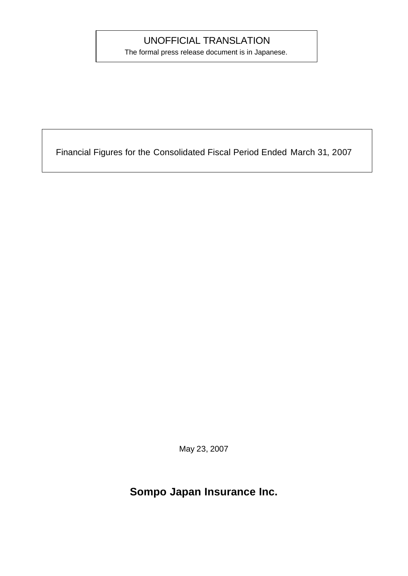## UNOFFICIAL TRANSLATION

The formal press release document is in Japanese.

Financial Figures for the Consolidated Fiscal Period Ended March 31, 2007

May 23, 2007

## **Sompo Japan Insurance Inc.**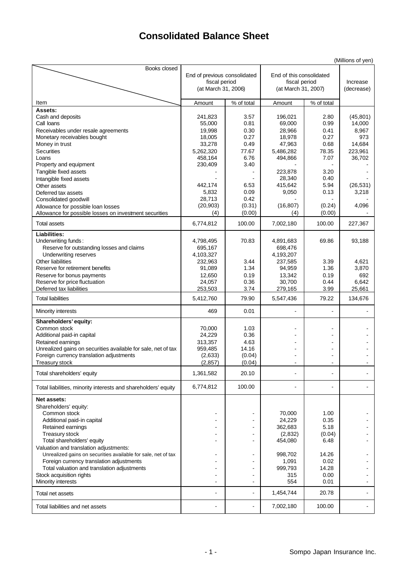## **Consolidated Balance Sheet**

| Books closed<br>End of previous consolidated<br>End of this consolidated<br>fiscal period<br>fiscal period<br>Increase<br>(at March 31, 2006)<br>(at March 31, 2007)<br>(decrease)<br>Item<br>% of total<br>% of total<br>Amount<br>Amount<br>Assets:<br>Cash and deposits<br>241,823<br>3.57<br>196,021<br>2.80<br>(45, 801)<br>0.81<br>Call Ioans<br>55,000<br>69,000<br>0.99<br>14,000<br>19,998<br>0.30<br>28,966<br>8,967<br>Receivables under resale agreements<br>0.41<br>Monetary receivables bought<br>18,005<br>0.27<br>18,978<br>0.27<br>973<br>33,278<br>47,963<br>14,684<br>Money in trust<br>0.49<br>0.68<br><b>Securities</b><br>5,262,320<br>77.67<br>5,486,282<br>78.35<br>223,961<br>36,702<br>Loans<br>458,164<br>6.76<br>494,866<br>7.07<br>Property and equipment<br>230,409<br>3.40<br>223,878<br>3.20<br>Tangible fixed assets<br>28,340<br>0.40<br>Intangible fixed assets<br>5.94<br>442,174<br>6.53<br>415,642<br>(26, 531)<br>Other assets<br>5,832<br>0.09<br>9,050<br>0.13<br>3,218<br>Deferred tax assets<br>28,713<br>0.42<br>Consolidated goodwill<br>(20, 903)<br>(0.31)<br>(16, 807)<br>(0.24)<br>4,096<br>Allowance for possible loan losses<br>(0.00)<br>(4)<br>(0.00)<br>(4)<br>Allowance for possible losses on investment securities |                     |           |        |           |        | (Millions of yen) |
|-----------------------------------------------------------------------------------------------------------------------------------------------------------------------------------------------------------------------------------------------------------------------------------------------------------------------------------------------------------------------------------------------------------------------------------------------------------------------------------------------------------------------------------------------------------------------------------------------------------------------------------------------------------------------------------------------------------------------------------------------------------------------------------------------------------------------------------------------------------------------------------------------------------------------------------------------------------------------------------------------------------------------------------------------------------------------------------------------------------------------------------------------------------------------------------------------------------------------------------------------------------------------------|---------------------|-----------|--------|-----------|--------|-------------------|
|                                                                                                                                                                                                                                                                                                                                                                                                                                                                                                                                                                                                                                                                                                                                                                                                                                                                                                                                                                                                                                                                                                                                                                                                                                                                             |                     |           |        |           |        |                   |
|                                                                                                                                                                                                                                                                                                                                                                                                                                                                                                                                                                                                                                                                                                                                                                                                                                                                                                                                                                                                                                                                                                                                                                                                                                                                             |                     |           |        |           |        |                   |
|                                                                                                                                                                                                                                                                                                                                                                                                                                                                                                                                                                                                                                                                                                                                                                                                                                                                                                                                                                                                                                                                                                                                                                                                                                                                             |                     |           |        |           |        |                   |
|                                                                                                                                                                                                                                                                                                                                                                                                                                                                                                                                                                                                                                                                                                                                                                                                                                                                                                                                                                                                                                                                                                                                                                                                                                                                             |                     |           |        |           |        |                   |
|                                                                                                                                                                                                                                                                                                                                                                                                                                                                                                                                                                                                                                                                                                                                                                                                                                                                                                                                                                                                                                                                                                                                                                                                                                                                             |                     |           |        |           |        |                   |
|                                                                                                                                                                                                                                                                                                                                                                                                                                                                                                                                                                                                                                                                                                                                                                                                                                                                                                                                                                                                                                                                                                                                                                                                                                                                             |                     |           |        |           |        |                   |
|                                                                                                                                                                                                                                                                                                                                                                                                                                                                                                                                                                                                                                                                                                                                                                                                                                                                                                                                                                                                                                                                                                                                                                                                                                                                             |                     |           |        |           |        |                   |
|                                                                                                                                                                                                                                                                                                                                                                                                                                                                                                                                                                                                                                                                                                                                                                                                                                                                                                                                                                                                                                                                                                                                                                                                                                                                             |                     |           |        |           |        |                   |
|                                                                                                                                                                                                                                                                                                                                                                                                                                                                                                                                                                                                                                                                                                                                                                                                                                                                                                                                                                                                                                                                                                                                                                                                                                                                             |                     |           |        |           |        |                   |
|                                                                                                                                                                                                                                                                                                                                                                                                                                                                                                                                                                                                                                                                                                                                                                                                                                                                                                                                                                                                                                                                                                                                                                                                                                                                             |                     |           |        |           |        |                   |
|                                                                                                                                                                                                                                                                                                                                                                                                                                                                                                                                                                                                                                                                                                                                                                                                                                                                                                                                                                                                                                                                                                                                                                                                                                                                             |                     |           |        |           |        |                   |
|                                                                                                                                                                                                                                                                                                                                                                                                                                                                                                                                                                                                                                                                                                                                                                                                                                                                                                                                                                                                                                                                                                                                                                                                                                                                             |                     |           |        |           |        |                   |
|                                                                                                                                                                                                                                                                                                                                                                                                                                                                                                                                                                                                                                                                                                                                                                                                                                                                                                                                                                                                                                                                                                                                                                                                                                                                             |                     |           |        |           |        |                   |
|                                                                                                                                                                                                                                                                                                                                                                                                                                                                                                                                                                                                                                                                                                                                                                                                                                                                                                                                                                                                                                                                                                                                                                                                                                                                             |                     |           |        |           |        |                   |
|                                                                                                                                                                                                                                                                                                                                                                                                                                                                                                                                                                                                                                                                                                                                                                                                                                                                                                                                                                                                                                                                                                                                                                                                                                                                             |                     |           |        |           |        |                   |
|                                                                                                                                                                                                                                                                                                                                                                                                                                                                                                                                                                                                                                                                                                                                                                                                                                                                                                                                                                                                                                                                                                                                                                                                                                                                             |                     |           |        |           |        |                   |
|                                                                                                                                                                                                                                                                                                                                                                                                                                                                                                                                                                                                                                                                                                                                                                                                                                                                                                                                                                                                                                                                                                                                                                                                                                                                             |                     |           |        |           |        |                   |
|                                                                                                                                                                                                                                                                                                                                                                                                                                                                                                                                                                                                                                                                                                                                                                                                                                                                                                                                                                                                                                                                                                                                                                                                                                                                             | <b>Total assets</b> | 6,774,812 | 100.00 | 7,002,180 | 100.00 | 227,367           |
| Liabilities:                                                                                                                                                                                                                                                                                                                                                                                                                                                                                                                                                                                                                                                                                                                                                                                                                                                                                                                                                                                                                                                                                                                                                                                                                                                                |                     |           |        |           |        |                   |
| Underwriting funds:<br>4,798,495<br>70.83<br>4,891,683<br>69.86<br>93,188                                                                                                                                                                                                                                                                                                                                                                                                                                                                                                                                                                                                                                                                                                                                                                                                                                                                                                                                                                                                                                                                                                                                                                                                   |                     |           |        |           |        |                   |
| 695,167<br>698,476<br>Reserve for outstanding losses and claims                                                                                                                                                                                                                                                                                                                                                                                                                                                                                                                                                                                                                                                                                                                                                                                                                                                                                                                                                                                                                                                                                                                                                                                                             |                     |           |        |           |        |                   |
| 4,103,327<br>4,193,207<br>Underwriting reserves                                                                                                                                                                                                                                                                                                                                                                                                                                                                                                                                                                                                                                                                                                                                                                                                                                                                                                                                                                                                                                                                                                                                                                                                                             |                     |           |        |           |        |                   |
| <b>Other liabilities</b><br>232,963<br>3.44<br>237,585<br>3.39<br>4,621                                                                                                                                                                                                                                                                                                                                                                                                                                                                                                                                                                                                                                                                                                                                                                                                                                                                                                                                                                                                                                                                                                                                                                                                     |                     |           |        |           |        |                   |
| 1.34<br>3,870<br>Reserve for retirement benefits<br>91,089<br>94,959<br>1.36<br>0.19<br>692                                                                                                                                                                                                                                                                                                                                                                                                                                                                                                                                                                                                                                                                                                                                                                                                                                                                                                                                                                                                                                                                                                                                                                                 |                     |           |        |           |        |                   |
| 12,650<br>13,342<br>Reserve for bonus payments<br>0.19<br>Reserve for price fluctuation<br>24,057<br>0.36<br>30,700<br>6,642<br>0.44                                                                                                                                                                                                                                                                                                                                                                                                                                                                                                                                                                                                                                                                                                                                                                                                                                                                                                                                                                                                                                                                                                                                        |                     |           |        |           |        |                   |
| Deferred tax liabilities<br>25,661<br>253,503<br>3.74<br>279,165<br>3.99                                                                                                                                                                                                                                                                                                                                                                                                                                                                                                                                                                                                                                                                                                                                                                                                                                                                                                                                                                                                                                                                                                                                                                                                    |                     |           |        |           |        |                   |
| <b>Total liabilities</b><br>79.22<br>5,412,760<br>79.90<br>5,547,436<br>134,676                                                                                                                                                                                                                                                                                                                                                                                                                                                                                                                                                                                                                                                                                                                                                                                                                                                                                                                                                                                                                                                                                                                                                                                             |                     |           |        |           |        |                   |
| 469<br>0.01<br>Minority interests                                                                                                                                                                                                                                                                                                                                                                                                                                                                                                                                                                                                                                                                                                                                                                                                                                                                                                                                                                                                                                                                                                                                                                                                                                           |                     |           |        |           |        |                   |
| Shareholders' equity:                                                                                                                                                                                                                                                                                                                                                                                                                                                                                                                                                                                                                                                                                                                                                                                                                                                                                                                                                                                                                                                                                                                                                                                                                                                       |                     |           |        |           |        |                   |
| 70,000<br>Common stock<br>1.03                                                                                                                                                                                                                                                                                                                                                                                                                                                                                                                                                                                                                                                                                                                                                                                                                                                                                                                                                                                                                                                                                                                                                                                                                                              |                     |           |        |           |        |                   |
| 24,229<br>0.36<br>Additional paid-in capital                                                                                                                                                                                                                                                                                                                                                                                                                                                                                                                                                                                                                                                                                                                                                                                                                                                                                                                                                                                                                                                                                                                                                                                                                                |                     |           |        |           |        |                   |
| 313,357<br>4.63<br>Retained earnings                                                                                                                                                                                                                                                                                                                                                                                                                                                                                                                                                                                                                                                                                                                                                                                                                                                                                                                                                                                                                                                                                                                                                                                                                                        |                     |           |        |           |        |                   |
| Unrealized gains on securities available for sale, net of tax<br>14.16<br>959,485                                                                                                                                                                                                                                                                                                                                                                                                                                                                                                                                                                                                                                                                                                                                                                                                                                                                                                                                                                                                                                                                                                                                                                                           |                     |           |        |           |        |                   |
| Foreign currency translation adjustments<br>(2,633)<br>(0.04)                                                                                                                                                                                                                                                                                                                                                                                                                                                                                                                                                                                                                                                                                                                                                                                                                                                                                                                                                                                                                                                                                                                                                                                                               |                     |           |        |           |        |                   |
| (2, 857)<br>(0.04)<br><b>Treasury stock</b>                                                                                                                                                                                                                                                                                                                                                                                                                                                                                                                                                                                                                                                                                                                                                                                                                                                                                                                                                                                                                                                                                                                                                                                                                                 |                     |           |        |           |        |                   |
| 1,361,582<br>20.10<br>Total shareholders' equity                                                                                                                                                                                                                                                                                                                                                                                                                                                                                                                                                                                                                                                                                                                                                                                                                                                                                                                                                                                                                                                                                                                                                                                                                            |                     |           |        |           |        |                   |
| 6,774,812<br>100.00<br>Total liabilities, minority interests and shareholders' equity<br>٠<br>$\overline{\phantom{a}}$                                                                                                                                                                                                                                                                                                                                                                                                                                                                                                                                                                                                                                                                                                                                                                                                                                                                                                                                                                                                                                                                                                                                                      |                     |           |        |           |        |                   |
|                                                                                                                                                                                                                                                                                                                                                                                                                                                                                                                                                                                                                                                                                                                                                                                                                                                                                                                                                                                                                                                                                                                                                                                                                                                                             |                     |           |        |           |        |                   |
| Net assets:<br>Shareholders' equity:                                                                                                                                                                                                                                                                                                                                                                                                                                                                                                                                                                                                                                                                                                                                                                                                                                                                                                                                                                                                                                                                                                                                                                                                                                        |                     |           |        |           |        |                   |
| Common stock<br>$\blacksquare$                                                                                                                                                                                                                                                                                                                                                                                                                                                                                                                                                                                                                                                                                                                                                                                                                                                                                                                                                                                                                                                                                                                                                                                                                                              |                     |           |        |           |        |                   |
| 70,000<br>1.00<br>-<br>Additional paid-in capital<br>24,229<br>0.35<br>$\blacksquare$                                                                                                                                                                                                                                                                                                                                                                                                                                                                                                                                                                                                                                                                                                                                                                                                                                                                                                                                                                                                                                                                                                                                                                                       |                     |           |        |           |        |                   |
| Retained earnings<br>362,683<br>5.18<br>$\blacksquare$                                                                                                                                                                                                                                                                                                                                                                                                                                                                                                                                                                                                                                                                                                                                                                                                                                                                                                                                                                                                                                                                                                                                                                                                                      |                     |           |        |           |        |                   |
| Treasury stock<br>(2,832)<br>(0.04)<br>$\blacksquare$                                                                                                                                                                                                                                                                                                                                                                                                                                                                                                                                                                                                                                                                                                                                                                                                                                                                                                                                                                                                                                                                                                                                                                                                                       |                     |           |        |           |        |                   |
| Total shareholders' equity<br>454,080<br>6.48<br>$\blacksquare$                                                                                                                                                                                                                                                                                                                                                                                                                                                                                                                                                                                                                                                                                                                                                                                                                                                                                                                                                                                                                                                                                                                                                                                                             |                     |           |        |           |        |                   |
| Valuation and translation adjustments:                                                                                                                                                                                                                                                                                                                                                                                                                                                                                                                                                                                                                                                                                                                                                                                                                                                                                                                                                                                                                                                                                                                                                                                                                                      |                     |           |        |           |        |                   |
| Unrealized gains on securities available for sale, net of tax<br>998,702<br>14.26<br>$\overline{\phantom{a}}$                                                                                                                                                                                                                                                                                                                                                                                                                                                                                                                                                                                                                                                                                                                                                                                                                                                                                                                                                                                                                                                                                                                                                               |                     |           |        |           |        |                   |
| Foreign currency translation adjustments<br>1,091<br>0.02<br>$\blacksquare$                                                                                                                                                                                                                                                                                                                                                                                                                                                                                                                                                                                                                                                                                                                                                                                                                                                                                                                                                                                                                                                                                                                                                                                                 |                     |           |        |           |        |                   |
| Total valuation and translation adjustments<br>999,793<br>14.28<br>$\blacksquare$                                                                                                                                                                                                                                                                                                                                                                                                                                                                                                                                                                                                                                                                                                                                                                                                                                                                                                                                                                                                                                                                                                                                                                                           |                     |           |        |           |        |                   |
| Stock acquisition rights<br>0.00<br>315<br>$\blacksquare$<br>٠                                                                                                                                                                                                                                                                                                                                                                                                                                                                                                                                                                                                                                                                                                                                                                                                                                                                                                                                                                                                                                                                                                                                                                                                              |                     |           |        |           |        |                   |
| Minority interests<br>554<br>0.01<br>$\overline{\phantom{a}}$                                                                                                                                                                                                                                                                                                                                                                                                                                                                                                                                                                                                                                                                                                                                                                                                                                                                                                                                                                                                                                                                                                                                                                                                               |                     |           |        |           |        |                   |
| 1,454,744<br>20.78<br>Total net assets<br>÷<br>$\overline{\phantom{a}}$                                                                                                                                                                                                                                                                                                                                                                                                                                                                                                                                                                                                                                                                                                                                                                                                                                                                                                                                                                                                                                                                                                                                                                                                     |                     |           |        |           |        |                   |
| 7,002,180<br>100.00<br>Total liabilities and net assets<br>$\blacksquare$                                                                                                                                                                                                                                                                                                                                                                                                                                                                                                                                                                                                                                                                                                                                                                                                                                                                                                                                                                                                                                                                                                                                                                                                   |                     |           |        |           |        |                   |